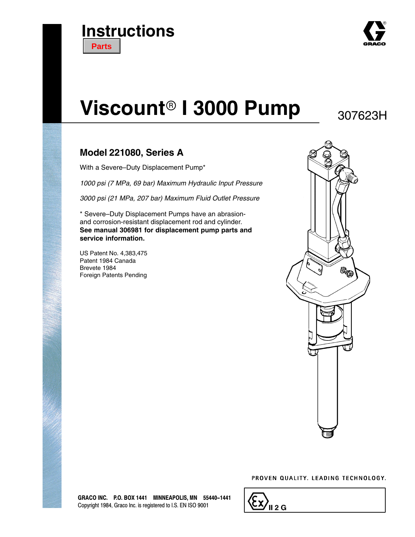



# **Viscount<sup>®</sup> I 3000 Pump**

307623H

### **Model 221080, Series A**

With a Severe–Duty Displacement Pump\*

*1000 psi (7 MPa, 69 bar) Maximum Hydraulic Input Pressure*

*3000 psi (21 MPa, 207 bar) Maximum Fluid Outlet Pressure*

\* Severe–Duty Displacement Pumps have an abrasionand corrosion-resistant displacement rod and cylinder. **See manual 306981 for displacement pump parts and service information.**

US Patent No. 4,383,475 Patent 1984 Canada Brevete 1984 Foreign Patents Pending



#### PROVEN QUALITY. LEADING TECHNOLOGY.

| <u>ی ۱۱ کٹ</u> |
|----------------|
|----------------|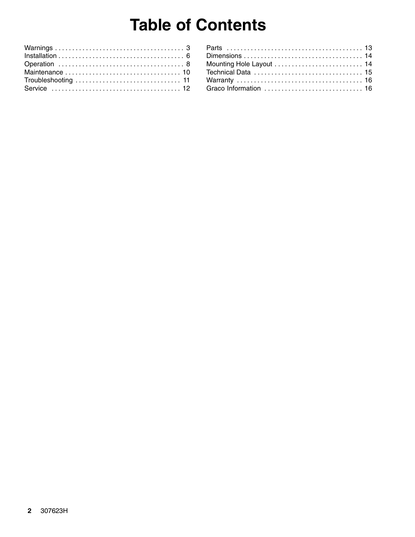# **Table of Contents**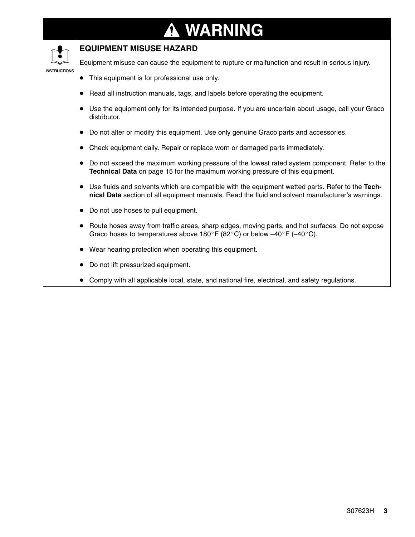### **WARNING ↑**

### **EQUIPMENT MISUSE HAZARD**

Equipment misuse can cause the equipment to rupture or malfunction and result in serious injury.

#### **INSTRUCTIONS**

- $\bullet$ This equipment is for professional use only.
- $\bullet$ Read all instruction manuals, tags, and labels before operating the equipment.
- $\bullet$  Use the equipment only for its intended purpose. If you are uncertain about usage, call your Graco distributor.
- $\bullet$ Do not alter or modify this equipment. Use only genuine Graco parts and accessories.
- $\bullet$ Check equipment daily. Repair or replace worn or damaged parts immediately.
- $\bullet$  Do not exceed the maximum working pressure of the lowest rated system component. Refer to the **Technical Data** on page 15 for the maximum working pressure of this equipment.
- Use fluids and solvents which are compatible with the equipment wetted parts. Refer to the **Technical Data** section of all equipment manuals. Read the fluid and solvent manufacturer's warnings.
- $\bullet$ Do not use hoses to pull equipment.
- $\bullet$  Route hoses away from traffic areas, sharp edges, moving parts, and hot surfaces. Do not expose Graco hoses to temperatures above 180°F (82°C) or below  $-40^{\circ}$ F ( $-40^{\circ}$ C).
- $\bullet$ Wear hearing protection when operating this equipment.
- $\bullet$ Do not lift pressurized equipment.
- $\bullet$ Comply with all applicable local, state, and national fire, electrical, and safety regulations.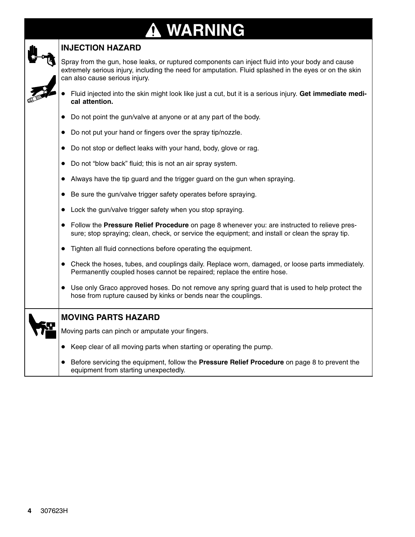### **WARNING** 0



### **INJECTION HAZARD**

Spray from the gun, hose leaks, or ruptured components can inject fluid into your body and cause extremely serious injury, including the need for amputation. Fluid splashed in the eyes or on the skin can also cause serious injury.

- $\bullet$  Fluid injected into the skin might look like just a cut, but it is a serious injury. **Get immediate medical attention.**
- Do not point the gun/valve at anyone or at any part of the body.
- Do not put your hand or fingers over the spray tip/nozzle.
- Do not stop or deflect leaks with your hand, body, glove or rag.
- Do not "blow back" fluid; this is not an air spray system.
- Always have the tip guard and the trigger guard on the gun when spraying.
- $\bullet$ Be sure the gun/valve trigger safety operates before spraying.
- Lock the gun/valve trigger safety when you stop spraying.
- Follow the **Pressure Relief Procedure** on page 8 whenever you: are instructed to relieve pressure; stop spraying; clean, check, or service the equipment; and install or clean the spray tip.
- Tighten all fluid connections before operating the equipment.
- Check the hoses, tubes, and couplings daily. Replace worn, damaged, or loose parts immediately. Permanently coupled hoses cannot be repaired; replace the entire hose.
- Use only Graco approved hoses. Do not remove any spring guard that is used to help protect the hose from rupture caused by kinks or bends near the couplings.
- **MOVING PARTS HAZARD**

Moving parts can pinch or amputate your fingers.

- Keep clear of all moving parts when starting or operating the pump.
- Before servicing the equipment, follow the **Pressure Relief Procedure** on page 8 to prevent the equipment from starting unexpectedly.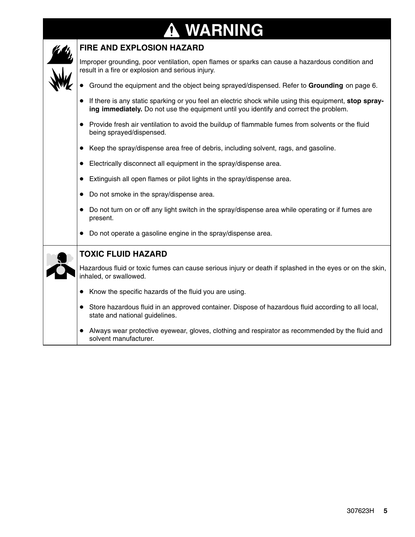### **WARNING** N



### **FIRE AND EXPLOSION HAZARD**

Improper grounding, poor ventilation, open flames or sparks can cause a hazardous condition and result in a fire or explosion and serious injury.

- $\bullet$ Ground the equipment and the object being sprayed/dispensed. Refer to **Grounding** on page 6.
- $\bullet$  If there is any static sparking or you feel an electric shock while using this equipment, **stop spraying immediately.** Do not use the equipment until you identify and correct the problem.
- $\bullet$  Provide fresh air ventilation to avoid the buildup of flammable fumes from solvents or the fluid being sprayed/dispensed.
- $\bullet$ Keep the spray/dispense area free of debris, including solvent, rags, and gasoline.
- $\bullet$ Electrically disconnect all equipment in the spray/dispense area.
- $\bullet$ Extinguish all open flames or pilot lights in the spray/dispense area.
- $\bullet$ Do not smoke in the spray/dispense area.
- $\bullet$  Do not turn on or off any light switch in the spray/dispense area while operating or if fumes are present.
- Do not operate a gasoline engine in the spray/dispense area.

| ٠ |
|---|
|   |
|   |
|   |

### **TOXIC FLUID HAZARD**

Hazardous fluid or toxic fumes can cause serious injury or death if splashed in the eyes or on the skin, inhaled, or swallowed.

- $\bullet$ Know the specific hazards of the fluid you are using.
- $\bullet$  Store hazardous fluid in an approved container. Dispose of hazardous fluid according to all local, state and national guidelines.
- $\bullet$  Always wear protective eyewear, gloves, clothing and respirator as recommended by the fluid and solvent manufacturer.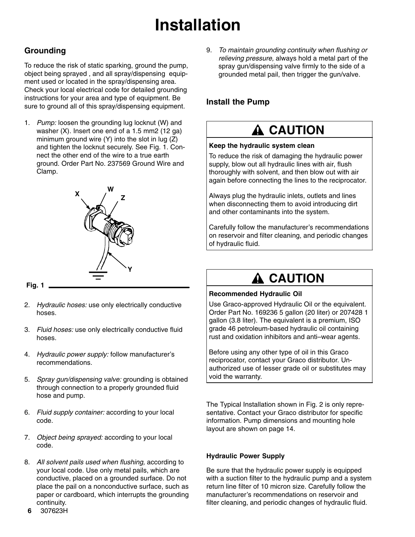# **Installation**

### **Grounding**

To reduce the risk of static sparking, ground the pump, object being sprayed , and all spray/dispensing equipment used or located in the spray/dispensing area. Check your local electrical code for detailed grounding instructions for your area and type of equipment. Be sure to ground all of this spray/dispensing equipment.

1. *Pump:* loosen the grounding lug locknut (W) and washer (X). Insert one end of a 1.5 mm2 (12 ga) minimum ground wire  $(Y)$  into the slot in lug  $(Z)$ and tighten the locknut securely. See Fig. 1. Connect the other end of the wire to a true earth ground. Order Part No. 237569 Ground Wire and Clamp.



#### **Fig. 1**

- 2. *Hydraulic hoses:* use only electrically conductive hoses.
- 3. *Fluid hoses:* use only electrically conductive fluid hoses.
- 4. *Hydraulic power supply:* follow manufacturer's recommendations.
- 5. *Spray gun/dispensing valve:* grounding is obtained through connection to a properly grounded fluid hose and pump.
- 6. *Fluid supply container:* according to your local code.
- 7. *Object being sprayed:* according to your local code.
- 8. *All solvent pails used when flushing,* according to your local code. Use only metal pails, which are conductive, placed on a grounded surface. Do not place the pail on a nonconductive surface, such as paper or cardboard, which interrupts the grounding continuity.

9. *To maintain grounding continuity when flushing or relieving pressure,* always hold a metal part of the spray gun/dispensing valve firmly to the side of a grounded metal pail, then trigger the gun/valve.

### **Install the Pump**

## **A CAUTION**

#### **Keep the hydraulic system clean**

To reduce the risk of damaging the hydraulic power supply, blow out all hydraulic lines with air, flush thoroughly with solvent, and then blow out with air again before connecting the lines to the reciprocator.

Always plug the hydraulic inlets, outlets and lines when disconnecting them to avoid introducing dirt and other contaminants into the system.

Carefully follow the manufacturer's recommendations on reservoir and filter cleaning, and periodic changes of hydraulic fluid.

## **A CAUTION**

#### **Recommended Hydraulic Oil**

Use Graco-approved Hydraulic Oil or the equivalent. Order Part No. 169236 5 gallon (20 liter) or 207428 1 gallon (3.8 liter). The equivalent is a premium, ISO grade 46 petroleum-based hydraulic oil containing rust and oxidation inhibitors and anti–wear agents.

Before using any other type of oil in this Graco reciprocator, contact your Graco distributor. Unauthorized use of lesser grade oil or substitutes may void the warranty.

The Typical Installation shown in Fig. 2 is only representative. Contact your Graco distributor for specific information. Pump dimensions and mounting hole layout are shown on page 14.

#### **Hydraulic Power Supply**

Be sure that the hydraulic power supply is equipped with a suction filter to the hydraulic pump and a system return line filter of 10 micron size. Carefully follow the manufacturer's recommendations on reservoir and filter cleaning, and periodic changes of hydraulic fluid.

6 307623H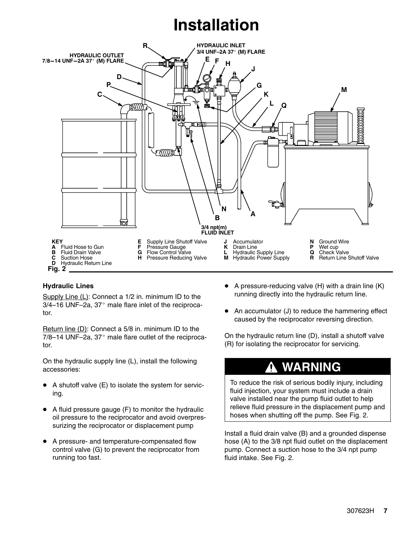# **Installation**



#### **Hydraulic Lines**

Supply Line (L): Connect a 1/2 in. minimum ID to the  $3/4-16$  UNF-2a,  $37^{\circ}$  male flare inlet of the reciprocator.

Return line (D): Connect a 5/8 in. minimum ID to the  $7/8-14$  UNF-2a, 37 $^{\circ}$  male flare outlet of the reciprocator.

On the hydraulic supply line (L), install the following accessories:

- $\bullet$  A shutoff valve (E) to isolate the system for servicing.
- $\bullet$  A fluid pressure gauge (F) to monitor the hydraulic oil pressure to the reciprocator and avoid overpressurizing the reciprocator or displacement pump
- $\bullet$  A pressure- and temperature-compensated flow control valve (G) to prevent the reciprocator from running too fast.
- $\bullet$  A pressure-reducing valve (H) with a drain line (K) running directly into the hydraulic return line.
- $\bullet$  An accumulator (J) to reduce the hammering effect caused by the reciprocator reversing direction.

On the hydraulic return line (D), install a shutoff valve (R) for isolating the reciprocator for servicing.

## **WARNING**

To reduce the risk of serious bodily injury, including fluid injection, your system must include a drain valve installed near the pump fluid outlet to help relieve fluid pressure in the displacement pump and hoses when shutting off the pump. See Fig. 2.

Install a fluid drain valve (B) and a grounded dispense hose (A) to the 3/8 npt fluid outlet on the displacement pump. Connect a suction hose to the 3/4 npt pump fluid intake. See Fig. 2.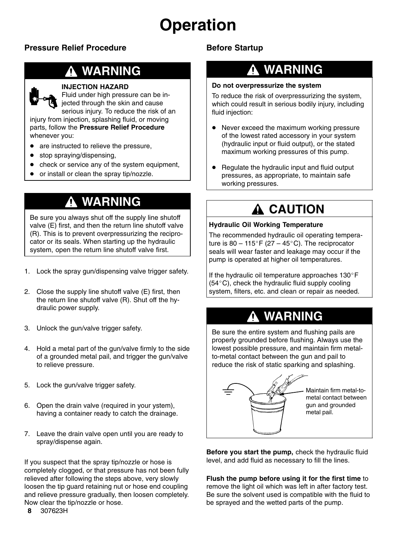# **Operation**

### **Pressure Relief Procedure**

## **WARNING**

#### **INJECTION HAZARD**

Fluid under high pressure can be injected through the skin and cause serious injury. To reduce the risk of an injury from injection, splashing fluid, or moving

parts, follow the **Pressure Relief Procedure** whenever you:

- $\bullet$ are instructed to relieve the pressure,
- stop spraying/dispensing,
- $\bullet$ check or service any of the system equipment,
- $\bullet$ or install or clean the spray tip/nozzle.

## **WARNING**

Be sure you always shut off the supply line shutoff valve (E) first, and then the return line shutoff valve (R). This is to prevent overpressurizing the reciprocator or its seals. When starting up the hydraulic system, open the return line shutoff valve first.

- 1. Lock the spray gun/dispensing valve trigger safety.
- 2. Close the supply line shutoff valve (E) first, then the return line shutoff valve (R). Shut off the hydraulic power supply.
- 3. Unlock the gun/valve trigger safety.
- 4. Hold a metal part of the gun/valve firmly to the side of a grounded metal pail, and trigger the gun/valve to relieve pressure.
- 5. Lock the gun/valve trigger safety.
- 6. Open the drain valve (required in your ystem), having a container ready to catch the drainage.
- 7. Leave the drain valve open until you are ready to spray/dispense again.

If you suspect that the spray tip/nozzle or hose is completely clogged, or that pressure has not been fully relieved after following the steps above, very slowly loosen the tip guard retaining nut or hose end coupling and relieve pressure gradually, then loosen completely. Now clear the tip/nozzle or hose.

### **Before Startup**

## **WARNING**

#### **Do not overpressurize the system**

To reduce the risk of overpressurizing the system, which could result in serious bodily injury, including fluid injection:

- $\bullet$  Never exceed the maximum working pressure of the lowest rated accessory in your system (hydraulic input or fluid output), or the stated maximum working pressures of this pump.
- $\bullet$  Regulate the hydraulic input and fluid output pressures, as appropriate, to maintain safe working pressures.

## **A CAUTION**

#### **Hydraulic Oil Working Temperature**

The recommended hydraulic oil operating temperature is 80 – 115°F (27 – 45°C). The reciprocator seals will wear faster and leakage may occur if the pump is operated at higher oil temperatures.

If the hydraulic oil temperature approaches  $130^{\circ}$ F  $(54^{\circ}C)$ , check the hydraulic fluid supply cooling system, filters, etc. and clean or repair as needed.

## **WARNING**

Be sure the entire system and flushing pails are properly grounded before flushing. Always use the lowest possible pressure, and maintain firm metalto-metal contact between the gun and pail to reduce the risk of static sparking and splashing.



Maintain firm metal-tometal contact between gun and grounded metal pail.

**Before you start the pump,** check the hydraulic fluid level, and add fluid as necessary to fill the lines.

**Flush the pump before using it for the first time** to remove the light oil which was left in after factory test. Be sure the solvent used is compatible with the fluid to be sprayed and the wetted parts of the pump.

8 307623H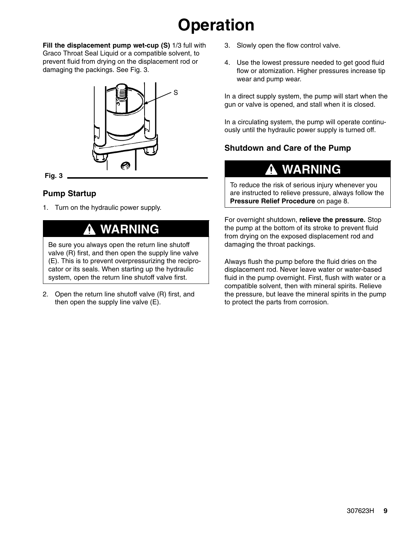# **Operation**

**Fill the displacement pump wet-cup (S)** 1/3 full with Graco Throat Seal Liquid or a compatible solvent, to prevent fluid from drying on the displacement rod or damaging the packings. See Fig. 3.



**Fig. 3**

### **Pump Startup**

1. Turn on the hydraulic power supply.

## **WARNING**

Be sure you always open the return line shutoff valve (R) first, and then open the supply line valve (E). This is to prevent overpressurizing the reciprocator or its seals. When starting up the hydraulic system, open the return line shutoff valve first.

2. Open the return line shutoff valve (R) first, and then open the supply line valve (E).

- 3. Slowly open the flow control valve.
- 4. Use the lowest pressure needed to get good fluid flow or atomization. Higher pressures increase tip wear and pump wear.

In a direct supply system, the pump will start when the gun or valve is opened, and stall when it is closed.

In a circulating system, the pump will operate continuously until the hydraulic power supply is turned off.

### **Shutdown and Care of the Pump**

## **WARNING**

To reduce the risk of serious injury whenever you are instructed to relieve pressure, always follow the **Pressure Relief Procedure** on page 8.

For overnight shutdown, **relieve the pressure.** Stop the pump at the bottom of its stroke to prevent fluid from drying on the exposed displacement rod and damaging the throat packings.

Always flush the pump before the fluid dries on the displacement rod. Never leave water or water-based fluid in the pump overnight. First, flush with water or a compatible solvent, then with mineral spirits. Relieve the pressure, but leave the mineral spirits in the pump to protect the parts from corrosion.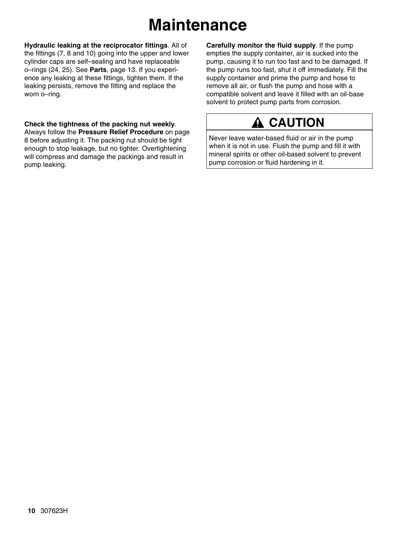# **Maintenance**

**Hydraulic leaking at the reciprocator fittings**. All of the fittings (7, 8 and 10) going into the upper and lower cylinder caps are self–sealing and have replaceable o–rings (24, 25). See **Parts**, page 13. If you experience any leaking at these fittings, tighten them. If the leaking persists, remove the fitting and replace the worn o–ring.

**Check the tightness of the packing nut weekly**. Always follow the **Pressure Relief Procedure** on page 8 before adjusting it. The packing nut should be tight enough to stop leakage, but no tighter. Overtightening will compress and damage the packings and result in pump leaking.

**Carefully monitor the fluid supply***.* If the pump empties the supply container, air is sucked into the pump, causing it to run too fast and to be damaged. If the pump runs too fast, shut it off immediately. Fill the supply container and prime the pump and hose to remove all air, or flush the pump and hose with a compatible solvent and leave it filled with an oil-base solvent to protect pump parts from corrosion.

## **A CAUTION**

Never leave water-based fluid or air in the pump when it is not in use. Flush the pump and fill it with mineral spirits or other oil-based solvent to prevent pump corrosion or fluid hardening in it.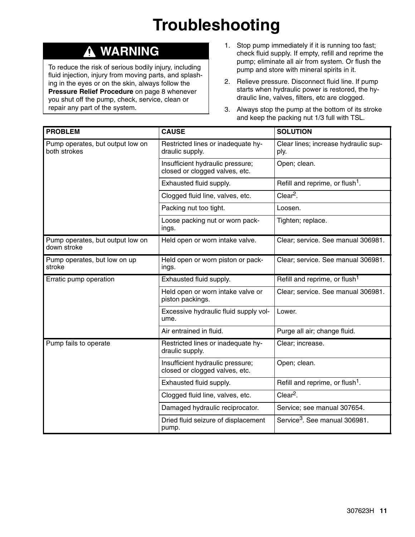# **Troubleshooting**

## **WARNING**

To reduce the risk of serious bodily injury, including fluid injection, injury from moving parts, and splashing in the eyes or on the skin, always follow the **Pressure Relief Procedure** on page 8 whenever you shut off the pump, check, service, clean or repair any part of the system.

- 1. Stop pump immediately if it is running too fast; check fluid supply. If empty, refill and reprime the pump; eliminate all air from system. Or flush the pump and store with mineral spirits in it.
- 2. Relieve pressure. Disconnect fluid line. If pump starts when hydraulic power is restored, the hydraulic line, valves, filters, etc are clogged.
- 3. Always stop the pump at the bottom of its stroke and keep the packing nut 1/3 full with TSL.

| <b>PROBLEM</b>                                   | <b>CAUSE</b>                                                       | <b>SOLUTION</b>                              |
|--------------------------------------------------|--------------------------------------------------------------------|----------------------------------------------|
| Pump operates, but output low on<br>both strokes | Restricted lines or inadequate hy-<br>draulic supply.              | Clear lines; increase hydraulic sup-<br>ply. |
|                                                  | Insufficient hydraulic pressure;<br>closed or clogged valves, etc. | Open; clean.                                 |
|                                                  | Exhausted fluid supply.                                            | Refill and reprime, or flush <sup>1</sup> .  |
|                                                  | Clogged fluid line, valves, etc.                                   | $Clear2$ .                                   |
|                                                  | Packing nut too tight.                                             | Loosen.                                      |
|                                                  | Loose packing nut or worn pack-<br>ings.                           | Tighten; replace.                            |
| Pump operates, but output low on<br>down stroke  | Held open or worn intake valve.                                    | Clear; service. See manual 306981.           |
| Pump operates, but low on up<br>stroke           | Held open or worn piston or pack-<br>ings.                         | Clear; service. See manual 306981.           |
| Erratic pump operation                           | Exhausted fluid supply.                                            | Refill and reprime, or flush <sup>1</sup>    |
|                                                  | Held open or worn intake valve or<br>piston packings.              | Clear; service. See manual 306981.           |
|                                                  | Excessive hydraulic fluid supply vol-<br>ume.                      | Lower.                                       |
|                                                  | Air entrained in fluid.                                            | Purge all air; change fluid.                 |
| Pump fails to operate                            | Restricted lines or inadequate hy-<br>draulic supply.              | Clear; increase.                             |
|                                                  | Insufficient hydraulic pressure;<br>closed or clogged valves, etc. | Open; clean.                                 |
|                                                  | Exhausted fluid supply.                                            | Refill and reprime, or flush <sup>1</sup> .  |
|                                                  | Clogged fluid line, valves, etc.                                   | $Clear2$ .                                   |
|                                                  | Damaged hydraulic reciprocator.                                    | Service; see manual 307654.                  |
|                                                  | Dried fluid seizure of displacement<br>pump.                       | Service <sup>3</sup> , See manual 306981.    |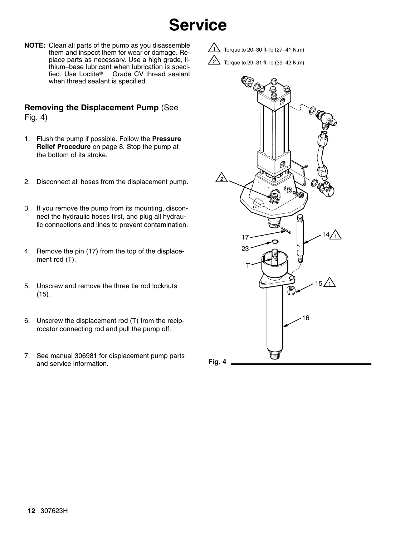# **Service**

**NOTE:** Clean all parts of the pump as you disassemble them and inspect them for wear or damage. Replace parts as necessary. Use a high grade, lithium–base lubricant when lubrication is speci-<br>fied. Use Loctite<sup>®</sup> Grade CV thread sealant Grade CV thread sealant when thread sealant is specified.

#### **Removing the Displacement Pump** (See Fig. 4)

- 1. Flush the pump if possible. Follow the **Pressure Relief Procedure** on page 8. Stop the pump at the bottom of its stroke.
- 2. Disconnect all hoses from the displacement pump.
- 3. If you remove the pump from its mounting, disconnect the hydraulic hoses first, and plug all hydraulic connections and lines to prevent contamination.
- 4. Remove the pin (17) from the top of the displacement rod (T).
- 5. Unscrew and remove the three tie rod locknuts (15).
- 6. Unscrew the displacement rod (T) from the reciprocator connecting rod and pull the pump off.
- 7. See manual 306981 for displacement pump parts and service information. **Fig. 4**

1 Torque to 20–30 ft–lb (27–41 N.m)



Torque to 29–31 ft–lb (39–42 N.m)

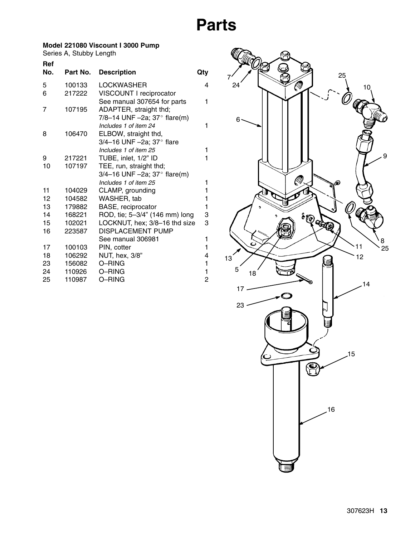# **Parts**

#### <span id="page-12-0"></span>**Model 221080 Viscount I 3000 Pump**

Series A, Stubby Length

| <b>Ref</b> |          |                                                                  |     |
|------------|----------|------------------------------------------------------------------|-----|
| No.        | Part No. | <b>Description</b>                                               | Qty |
| 5          | 100133   | <b>LOCKWASHER</b>                                                | 4   |
| 6          | 217222   | VISCOUNT I reciprocator                                          |     |
|            |          | See manual 307654 for parts                                      | 1   |
| 7          | 107195   | ADAPTER, straight thd;                                           |     |
|            |          | 7/8-14 UNF -2a; $37^{\circ}$ flare(m)                            |     |
|            |          | Includes 1 of item 24                                            | 1   |
| 8          | 106470   | ELBOW, straight thd,                                             |     |
|            |          | 3/4-16 UNF -2a; 37° flare                                        |     |
|            |          | Includes 1 of item 25                                            | 1   |
| 9<br>10    | 217221   | TUBE, inlet, 1/2" ID                                             | 1   |
|            | 107197   | TEE, run, straight thd;<br>3/4-16 UNF -2a; $37^{\circ}$ flare(m) |     |
|            |          | Includes 1 of item 25                                            | 1   |
| 11         | 104029   | CLAMP, grounding                                                 | 1   |
| 12         | 104582   | WASHER, tab                                                      | 1   |
| 13         | 179882   | BASE, reciprocator                                               | 1   |
| 14         | 168221   | ROD, tie; 5-3/4" (146 mm) long                                   | 3   |
| 15         | 102021   | LOCKNUT, hex; 3/8-16 thd size                                    | 3   |
| 16         | 223587   | <b>DISPLACEMENT PUMP</b>                                         |     |
|            |          | See manual 306981                                                | 1   |
| 17         | 100103   | PIN, cotter                                                      | 1   |
| 18         | 106292   | NUT, hex, 3/8"                                                   | 4   |
| 23         | 156082   | O-RING                                                           | 1   |
| 24         | 110926   | O-RING                                                           | 1   |
| 25         | 110987   | O-RING                                                           | 2   |
|            |          |                                                                  |     |

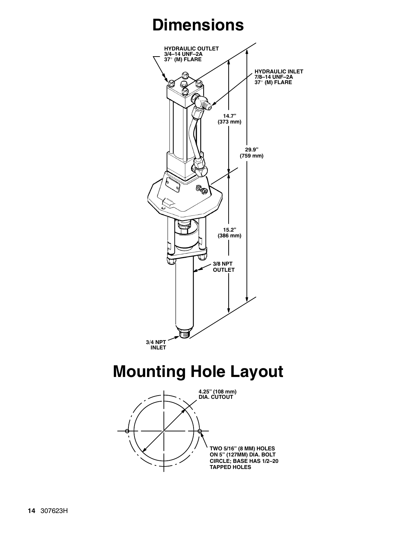# **Dimensions**

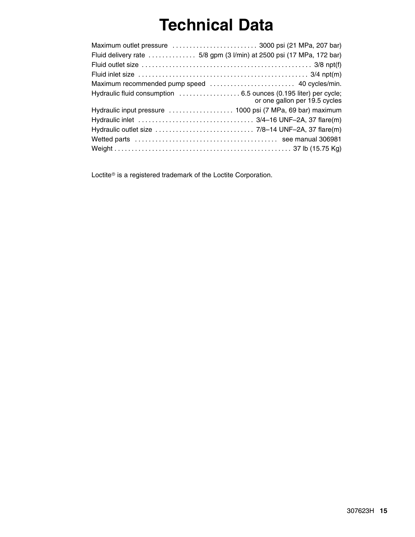# **Technical Data**

| Fluid delivery rate  5/8 gpm (3 l/min) at 2500 psi (17 MPa, 172 bar) |                               |
|----------------------------------------------------------------------|-------------------------------|
|                                                                      |                               |
|                                                                      |                               |
|                                                                      |                               |
|                                                                      | or one gallon per 19.5 cycles |
|                                                                      |                               |
|                                                                      |                               |
|                                                                      |                               |
|                                                                      |                               |
|                                                                      |                               |

Loctite<sup>®</sup> is a registered trademark of the Loctite Corporation.